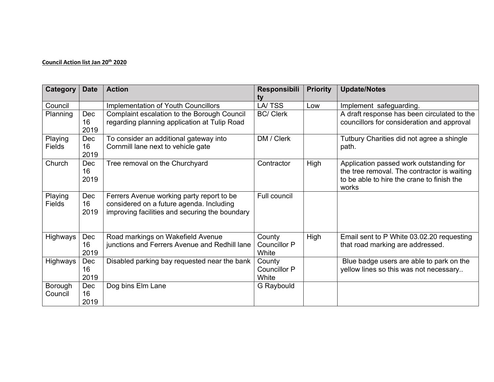## Council Action list Jan 20<sup>th</sup> 2020

| <b>Category</b>          | <b>Date</b>       | <b>Action</b>                                                                                                                           | <b>Responsibili</b><br>tv              | <b>Priority</b> | <b>Update/Notes</b>                                                                                                                           |
|--------------------------|-------------------|-----------------------------------------------------------------------------------------------------------------------------------------|----------------------------------------|-----------------|-----------------------------------------------------------------------------------------------------------------------------------------------|
| Council                  |                   | Implementation of Youth Councillors                                                                                                     | LA/TSS                                 | Low             | Implement safeguarding.                                                                                                                       |
| Planning                 | Dec<br>16<br>2019 | Complaint escalation to the Borough Council<br>regarding planning application at Tulip Road                                             | <b>BC/ Clerk</b>                       |                 | A draft response has been circulated to the<br>councillors for consideration and approval                                                     |
| Playing<br>Fields        | Dec<br>16<br>2019 | To consider an additional gateway into<br>Cornmill lane next to vehicle gate                                                            | DM / Clerk                             |                 | Tutbury Charities did not agree a shingle<br>path.                                                                                            |
| Church                   | Dec<br>16<br>2019 | Tree removal on the Churchyard                                                                                                          | Contractor                             | High            | Application passed work outstanding for<br>the tree removal. The contractor is waiting<br>to be able to hire the crane to finish the<br>works |
| Playing<br><b>Fields</b> | Dec<br>16<br>2019 | Ferrers Avenue working party report to be<br>considered on a future agenda. Including<br>improving facilities and securing the boundary | <b>Full council</b>                    |                 |                                                                                                                                               |
| Highways                 | Dec<br>16<br>2019 | Road markings on Wakefield Avenue<br>junctions and Ferrers Avenue and Redhill lane                                                      | County<br><b>Councillor P</b><br>White | High            | Email sent to P White 03.02.20 requesting<br>that road marking are addressed.                                                                 |
| Highways                 | Dec<br>16<br>2019 | Disabled parking bay requested near the bank                                                                                            | County<br><b>Councillor P</b><br>White |                 | Blue badge users are able to park on the<br>yellow lines so this was not necessary                                                            |
| Borough<br>Council       | Dec<br>16<br>2019 | Dog bins Elm Lane                                                                                                                       | G Raybould                             |                 |                                                                                                                                               |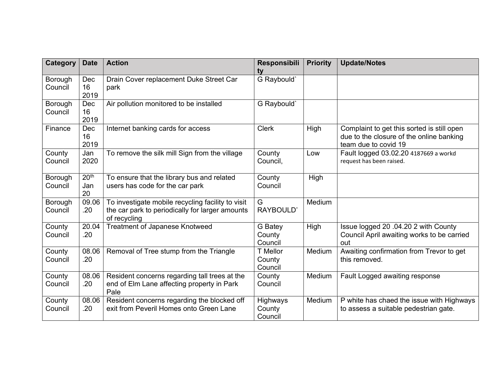| <b>Category</b>    | <b>Date</b>                   | <b>Action</b>                                                                                                        | Responsibili<br>ty            | <b>Priority</b> | <b>Update/Notes</b>                                                                                            |
|--------------------|-------------------------------|----------------------------------------------------------------------------------------------------------------------|-------------------------------|-----------------|----------------------------------------------------------------------------------------------------------------|
| Borough<br>Council | Dec<br>16<br>2019             | Drain Cover replacement Duke Street Car<br>park                                                                      | G Raybould'                   |                 |                                                                                                                |
| Borough<br>Council | Dec<br>16<br>2019             | Air pollution monitored to be installed                                                                              | G Raybould'                   |                 |                                                                                                                |
| Finance            | Dec<br>16<br>2019             | Internet banking cards for access                                                                                    | <b>Clerk</b>                  | High            | Complaint to get this sorted is still open<br>due to the closure of the online banking<br>team due to covid 19 |
| County<br>Council  | Jan<br>2020                   | To remove the silk mill Sign from the village                                                                        | County<br>Council,            | Low             | Fault logged 03.02.20 4187669 a workd<br>request has been raised.                                              |
| Borough<br>Council | 20 <sup>th</sup><br>Jan<br>20 | To ensure that the library bus and related<br>users has code for the car park                                        | County<br>Council             | High            |                                                                                                                |
| Borough<br>Council | 09.06<br>.20                  | To investigate mobile recycling facility to visit<br>the car park to periodically for larger amounts<br>of recycling | G<br>RAYBOULD'                | Medium          |                                                                                                                |
| County<br>Council  | 20.04<br>.20                  | Treatment of Japanese Knotweed                                                                                       | G Batey<br>County<br>Council  | High            | Issue logged 20 .04.20 2 with County<br>Council April awaiting works to be carried<br>out                      |
| County<br>Council  | 08.06<br>.20                  | Removal of Tree stump from the Triangle                                                                              | T Mellor<br>County<br>Council | Medium          | Awaiting confirmation from Trevor to get<br>this removed.                                                      |
| County<br>Council  | 08.06<br>.20                  | Resident concerns regarding tall trees at the<br>end of Elm Lane affecting property in Park<br>Pale                  | County<br>Council             | Medium          | Fault Logged awaiting response                                                                                 |
| County<br>Council  | 08.06<br>.20                  | Resident concerns regarding the blocked off<br>exit from Peveril Homes onto Green Lane                               | Highways<br>County<br>Council | Medium          | P white has chaed the issue with Highways<br>to assess a suitable pedestrian gate.                             |